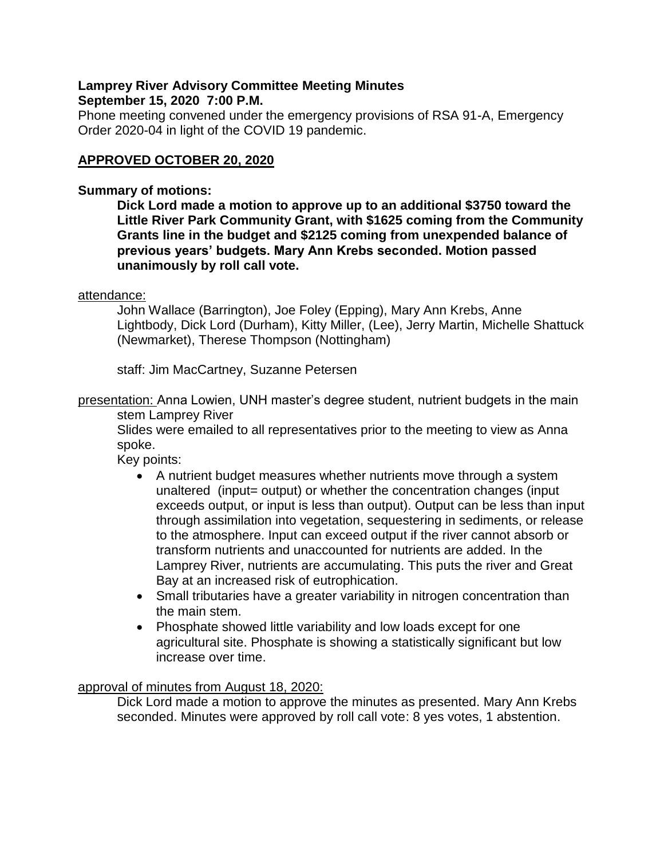## **Lamprey River Advisory Committee Meeting Minutes September 15, 2020 7:00 P.M.**

Phone meeting convened under the emergency provisions of RSA 91-A, Emergency Order 2020-04 in light of the COVID 19 pandemic.

# **APPROVED OCTOBER 20, 2020**

## **Summary of motions:**

**Dick Lord made a motion to approve up to an additional \$3750 toward the Little River Park Community Grant, with \$1625 coming from the Community Grants line in the budget and \$2125 coming from unexpended balance of previous years' budgets. Mary Ann Krebs seconded. Motion passed unanimously by roll call vote.**

## attendance:

John Wallace (Barrington), Joe Foley (Epping), Mary Ann Krebs, Anne Lightbody, Dick Lord (Durham), Kitty Miller, (Lee), Jerry Martin, Michelle Shattuck (Newmarket), Therese Thompson (Nottingham)

staff: Jim MacCartney, Suzanne Petersen

presentation: Anna Lowien, UNH master's degree student, nutrient budgets in the main stem Lamprey River

Slides were emailed to all representatives prior to the meeting to view as Anna spoke.

Key points:

- A nutrient budget measures whether nutrients move through a system unaltered (input= output) or whether the concentration changes (input exceeds output, or input is less than output). Output can be less than input through assimilation into vegetation, sequestering in sediments, or release to the atmosphere. Input can exceed output if the river cannot absorb or transform nutrients and unaccounted for nutrients are added. In the Lamprey River, nutrients are accumulating. This puts the river and Great Bay at an increased risk of eutrophication.
- Small tributaries have a greater variability in nitrogen concentration than the main stem.
- Phosphate showed little variability and low loads except for one agricultural site. Phosphate is showing a statistically significant but low increase over time.

## approval of minutes from August 18, 2020:

Dick Lord made a motion to approve the minutes as presented. Mary Ann Krebs seconded. Minutes were approved by roll call vote: 8 yes votes, 1 abstention.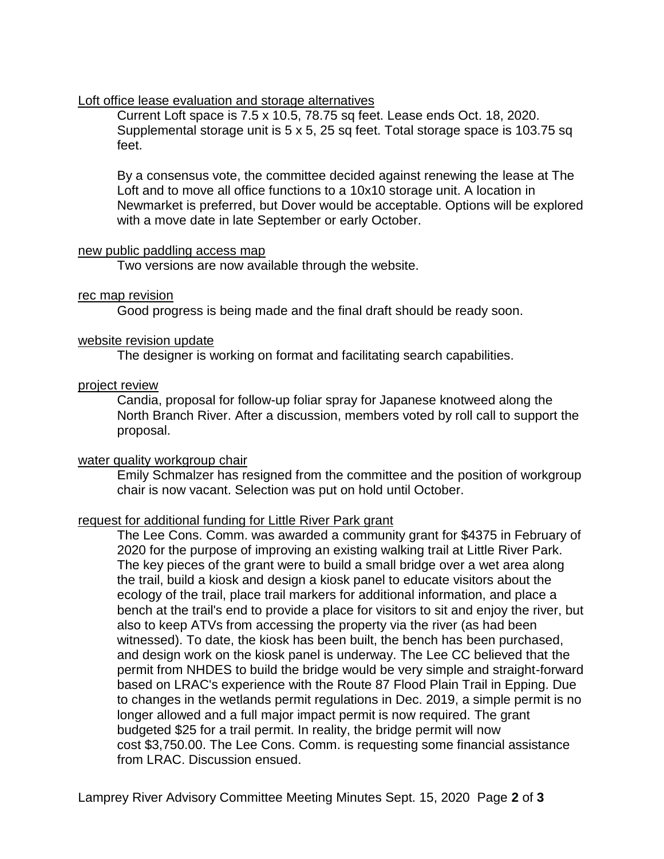### Loft office lease evaluation and storage alternatives

Current Loft space is 7.5 x 10.5, 78.75 sq feet. Lease ends Oct. 18, 2020. Supplemental storage unit is 5 x 5, 25 sq feet. Total storage space is 103.75 sq feet.

By a consensus vote, the committee decided against renewing the lease at The Loft and to move all office functions to a 10x10 storage unit. A location in Newmarket is preferred, but Dover would be acceptable. Options will be explored with a move date in late September or early October.

#### new public paddling access map

Two versions are now available through the website.

#### rec map revision

Good progress is being made and the final draft should be ready soon.

#### website revision update

The designer is working on format and facilitating search capabilities.

### project review

Candia, proposal for follow-up foliar spray for Japanese knotweed along the North Branch River. After a discussion, members voted by roll call to support the proposal.

## water quality workgroup chair

Emily Schmalzer has resigned from the committee and the position of workgroup chair is now vacant. Selection was put on hold until October.

## request for additional funding for Little River Park grant

The Lee Cons. Comm. was awarded a community grant for \$4375 in February of 2020 for the purpose of improving an existing walking trail at Little River Park. The key pieces of the grant were to build a small bridge over a wet area along the trail, build a kiosk and design a kiosk panel to educate visitors about the ecology of the trail, place trail markers for additional information, and place a bench at the trail's end to provide a place for visitors to sit and enjoy the river, but also to keep ATVs from accessing the property via the river (as had been witnessed). To date, the kiosk has been built, the bench has been purchased, and design work on the kiosk panel is underway. The Lee CC believed that the permit from NHDES to build the bridge would be very simple and straight-forward based on LRAC's experience with the Route 87 Flood Plain Trail in Epping. Due to changes in the wetlands permit regulations in Dec. 2019, a simple permit is no longer allowed and a full major impact permit is now required. The grant budgeted \$25 for a trail permit. In reality, the bridge permit will now cost \$3,750.00. The Lee Cons. Comm. is requesting some financial assistance from LRAC. Discussion ensued.